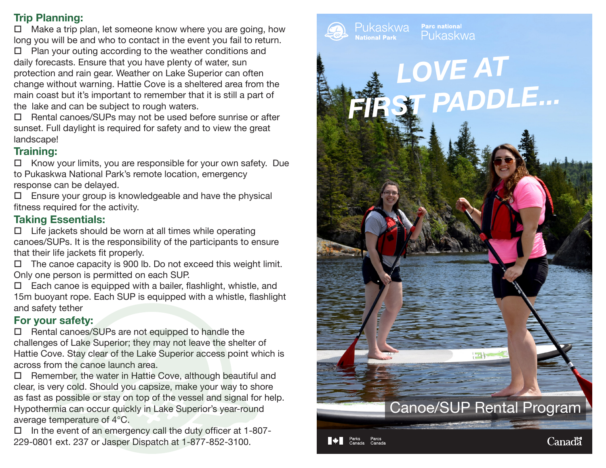#### **Trip Planning:**

 $\Box$  Make a trip plan, let someone know where you are going, how long you will be and who to contact in the event you fail to return.

 $\Box$  Plan your outing according to the weather conditions and daily forecasts. Ensure that you have plenty of water, sun protection and rain gear. Weather on Lake Superior can often change without warning. Hattie Cove is a sheltered area from the main coast but it's important to remember that it is still a part of the lake and can be subject to rough waters.

 $\Box$  Rental canoes/SUPs may not be used before sunrise or after sunset. Full daylight is required for safety and to view the great landscape!

#### **Training:**

 $\Box$  Know your limits, you are responsible for your own safety. Due to Pukaskwa National Park's remote location, emergency response can be delayed.

 $\square$  Ensure your group is knowledgeable and have the physical fitness required for the activity.

#### **Taking Essentials:**

 $\Box$  Life jackets should be worn at all times while operating canoes/SUPs. It is the responsibility of the participants to ensure that their life jackets fit properly.

 $\Box$  The canoe capacity is 900 lb. Do not exceed this weight limit. Only one person is permitted on each SUP.

 $\Box$  Each canoe is equipped with a bailer, flashlight, whistle, and 15m buoyant rope. Each SUP is equipped with a whistle, flashlight and safety tether

## **For your safety:**

 $\square$  Rental canoes/SUPs are not equipped to handle the challenges of Lake Superior; they may not leave the shelter of Hattie Cove. Stay clear of the Lake Superior access point which is across from the canoe launch area.

 $\Box$  Remember, the water in Hattie Cove, although beautiful and clear, is very cold. Should you capsize, make your way to shore as fast as possible or stay on top of the vessel and signal for help. Hypothermia can occur quickly in Lake Superior's year-round average temperature of 4°C.

 $\Box$  In the event of an emergency call the duty officer at 1-807-229-0801 ext. 237 or Jasper Dispatch at 1-877-852-3100.